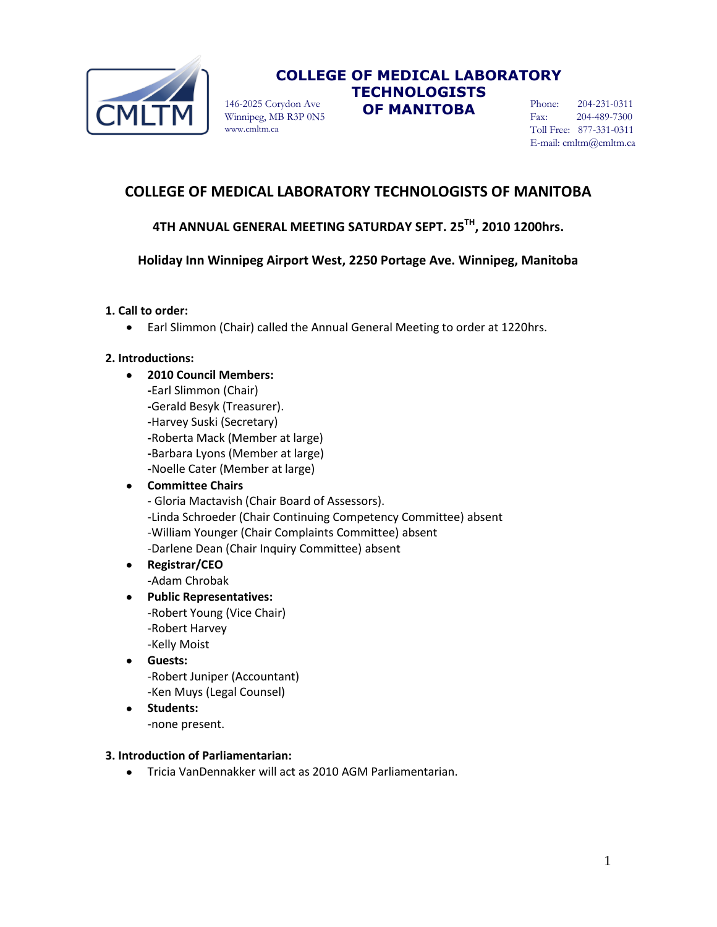

Winnipeg, MB R3P 0N5 www.cmltm.ca

# **COLLEGE OF MEDICAL LABORATORY TECHNOLOGISTS**  146-2025 Corydon Ave **OF MANITOBA**

Phone: 204-231-0311 Fax: 204-489-7300 Toll Free: 877-331-0311 E-mail: cmltm@cmltm.ca

# **COLLEGE OF MEDICAL LABORATORY TECHNOLOGISTS OF MANITOBA**

# **4TH ANNUAL GENERAL MEETING SATURDAY SEPT. 25 TH, 2010 1200hrs.**

# **Holiday Inn Winnipeg Airport West, 2250 Portage Ave. Winnipeg, Manitoba**

### **1. Call to order:**

Earl Slimmon (Chair) called the Annual General Meeting to order at 1220hrs.  $\bullet$ 

### **2. Introductions:**

 $\bullet$ 

**2010 Council Members: -**Earl Slimmon (Chair) **-**Gerald Besyk (Treasurer). **-**Harvey Suski (Secretary) **-**Roberta Mack (Member at large) **-**Barbara Lyons (Member at large) **-**Noelle Cater (Member at large)

### **Committee Chairs**

- Gloria Mactavish (Chair Board of Assessors). -Linda Schroeder (Chair Continuing Competency Committee) absent -William Younger (Chair Complaints Committee) absent -Darlene Dean (Chair Inquiry Committee) absent

- **Registrar/CEO -**Adam Chrobak
- **Public Representatives:** -Robert Young (Vice Chair) -Robert Harvey -Kelly Moist
- **Guests:** -Robert Juniper (Accountant) -Ken Muys (Legal Counsel)
- **Students:** -none present.

### **3. Introduction of Parliamentarian:**

Tricia VanDennakker will act as 2010 AGM Parliamentarian.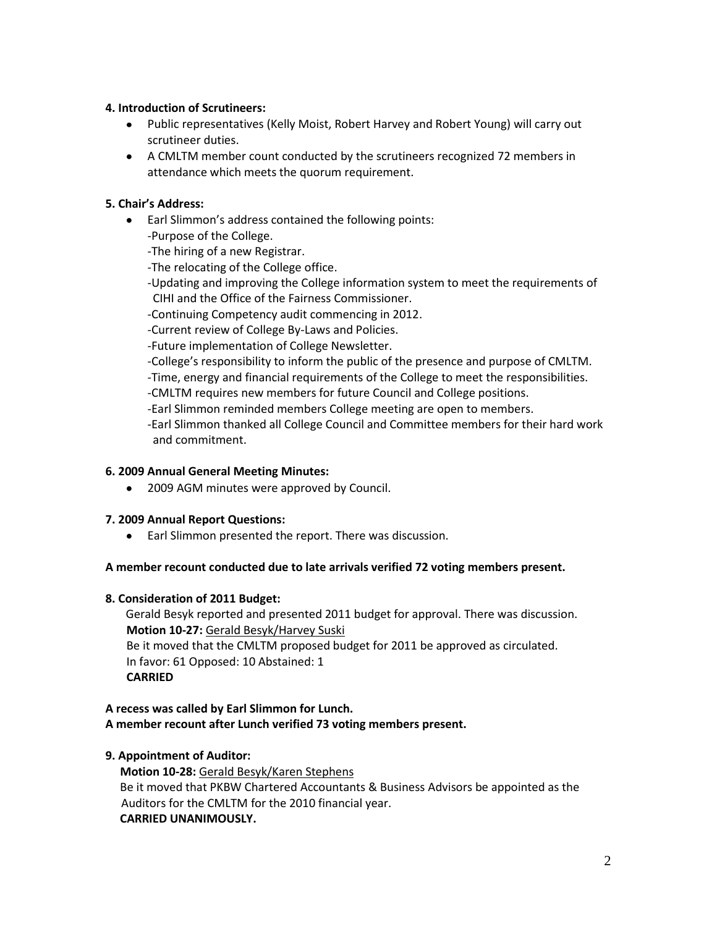### **4. Introduction of Scrutineers:**

- Public representatives (Kelly Moist, Robert Harvey and Robert Young) will carry out scrutineer duties.
- A CMLTM member count conducted by the scrutineers recognized 72 members in attendance which meets the quorum requirement.

## **5. Chair's Address:**

Earl Slimmon's address contained the following points: -Purpose of the College. -The hiring of a new Registrar.

-The relocating of the College office.

-Updating and improving the College information system to meet the requirements of CIHI and the Office of the Fairness Commissioner.

-Continuing Competency audit commencing in 2012.

-Current review of College By-Laws and Policies.

-Future implementation of College Newsletter.

-College's responsibility to inform the public of the presence and purpose of CMLTM. -Time, energy and financial requirements of the College to meet the responsibilities.

-CMLTM requires new members for future Council and College positions.

-Earl Slimmon reminded members College meeting are open to members.

-Earl Slimmon thanked all College Council and Committee members for their hard work and commitment.

### **6. 2009 Annual General Meeting Minutes:**

• 2009 AGM minutes were approved by Council.

# **7. 2009 Annual Report Questions:**

Earl Slimmon presented the report. There was discussion.

### **A member recount conducted due to late arrivals verified 72 voting members present.**

### **8. Consideration of 2011 Budget:**

 Gerald Besyk reported and presented 2011 budget for approval. There was discussion. **Motion 10-27:** Gerald Besyk/Harvey Suski Be it moved that the CMLTM proposed budget for 2011 be approved as circulated. In favor: 61 Opposed: 10 Abstained: 1 **CARRIED**

## **A recess was called by Earl Slimmon for Lunch. A member recount after Lunch verified 73 voting members present.**

# **9. Appointment of Auditor:**

 **Motion 10-28:** Gerald Besyk/Karen Stephens Be it moved that PKBW Chartered Accountants & Business Advisors be appointed as the Auditors for the CMLTM for the 2010 financial year. **CARRIED UNANIMOUSLY.**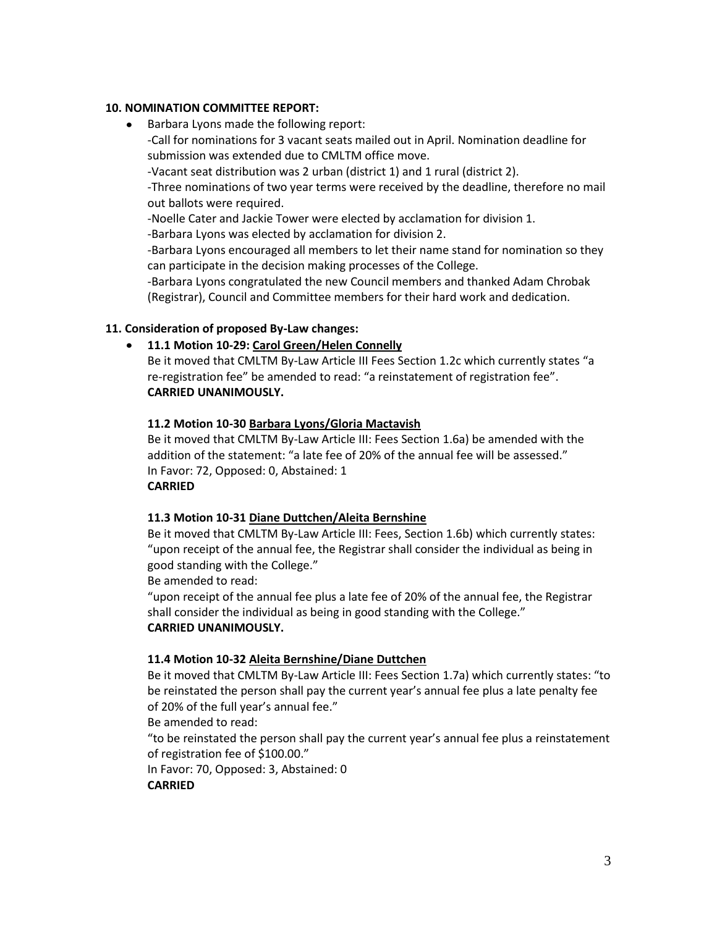### **10. NOMINATION COMMITTEE REPORT:**

• Barbara Lyons made the following report: -Call for nominations for 3 vacant seats mailed out in April. Nomination deadline for submission was extended due to CMLTM office move. -Vacant seat distribution was 2 urban (district 1) and 1 rural (district 2). -Three nominations of two year terms were received by the deadline, therefore no mail out ballots were required. -Noelle Cater and Jackie Tower were elected by acclamation for division 1. -Barbara Lyons was elected by acclamation for division 2. -Barbara Lyons encouraged all members to let their name stand for nomination so they can participate in the decision making processes of the College. -Barbara Lyons congratulated the new Council members and thanked Adam Chrobak (Registrar), Council and Committee members for their hard work and dedication.

### **11. Consideration of proposed By-Law changes:**

### **11.1 Motion 10-29: Carol Green/Helen Connelly**

Be it moved that CMLTM By-Law Article III Fees Section 1.2c which currently states "a re-registration fee" be amended to read: "a reinstatement of registration fee". **CARRIED UNANIMOUSLY.**

### **11.2 Motion 10-30 Barbara Lyons/Gloria Mactavish**

Be it moved that CMLTM By-Law Article III: Fees Section 1.6a) be amended with the addition of the statement: "a late fee of 20% of the annual fee will be assessed." In Favor: 72, Opposed: 0, Abstained: 1 **CARRIED**

#### **11.3 Motion 10-31 Diane Duttchen/Aleita Bernshine**

Be it moved that CMLTM By-Law Article III: Fees, Section 1.6b) which currently states: "upon receipt of the annual fee, the Registrar shall consider the individual as being in good standing with the College."

Be amended to read:

"upon receipt of the annual fee plus a late fee of 20% of the annual fee, the Registrar shall consider the individual as being in good standing with the College." **CARRIED UNANIMOUSLY.**

### **11.4 Motion 10-32 Aleita Bernshine/Diane Duttchen**

Be it moved that CMLTM By-Law Article III: Fees Section 1.7a) which currently states: "to be reinstated the person shall pay the current year's annual fee plus a late penalty fee of 20% of the full year's annual fee."

Be amended to read:

"to be reinstated the person shall pay the current year's annual fee plus a reinstatement of registration fee of \$100.00."

In Favor: 70, Opposed: 3, Abstained: 0

### **CARRIED**